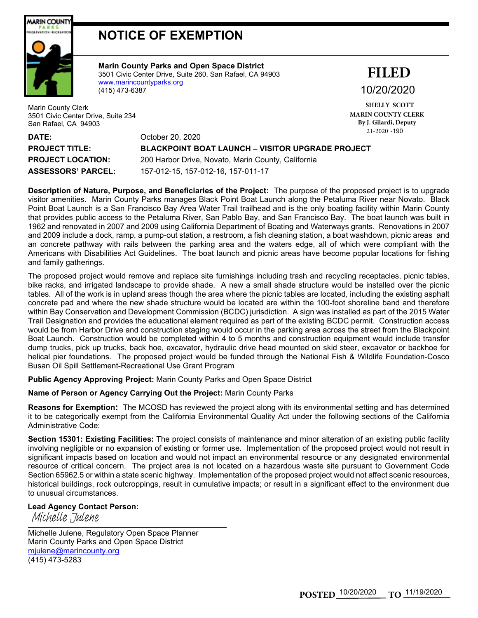

## **NOTICE OF EXEMPTION**

**Marin County Parks and Open Space District** 3501 Civic Center Drive, Suite 260, San Rafael, CA 94903 [www.marincountyparks.org](http://www.marincountyparks.org/) (415) 473-6387

Marin County Clerk 3501 Civic Center Drive, Suite 234 San Rafael, CA 94903

10/20/2020 **FILED**

21-2020 -190 **SHELLY SCOTT MARIN COUNTY CLERK By J. Gilardi, Deputy**

| <b>DATE:</b>              | $\mathcal{L}$<br>October 20, 2020                       |
|---------------------------|---------------------------------------------------------|
| <b>PROJECT TITLE:</b>     | <b>BLACKPOINT BOAT LAUNCH – VISITOR UPGRADE PROJECT</b> |
| <b>PROJECT LOCATION:</b>  | 200 Harbor Drive, Novato, Marin County, California      |
| <b>ASSESSORS' PARCEL:</b> | 157-012-15, 157-012-16, 157-011-17                      |

**Description of Nature, Purpose, and Beneficiaries of the Project:** The purpose of the proposed project is to upgrade visitor amenities. Marin County Parks manages Black Point Boat Launch along the Petaluma River near Novato. Black Point Boat Launch is a San Francisco Bay Area Water Trail trailhead and is the only boating facility within Marin County that provides public access to the Petaluma River, San Pablo Bay, and San Francisco Bay. The boat launch was built in 1962 and renovated in 2007 and 2009 using California Department of Boating and Waterways grants. Renovations in 2007 and 2009 include a dock, ramp, a pump-out station, a restroom, a fish cleaning station, a boat washdown, picnic areas and an concrete pathway with rails between the parking area and the waters edge, all of which were compliant with the Americans with Disabilities Act Guidelines. The boat launch and picnic areas have become popular locations for fishing and family gatherings.

The proposed project would remove and replace site furnishings including trash and recycling receptacles, picnic tables, bike racks, and irrigated landscape to provide shade. A new a small shade structure would be installed over the picnic tables. All of the work is in upland areas though the area where the picnic tables are located, including the existing asphalt concrete pad and where the new shade structure would be located are within the 100-foot shoreline band and therefore within Bay Conservation and Development Commission (BCDC) jurisdiction. A sign was installed as part of the 2015 Water Trail Designation and provides the educational element required as part of the existing BCDC permit. Construction access would be from Harbor Drive and construction staging would occur in the parking area across the street from the Blackpoint Boat Launch. Construction would be completed within 4 to 5 months and construction equipment would include transfer dump trucks, pick up trucks, back hoe, excavator, hydraulic drive head mounted on skid steer, excavator or backhoe for helical pier foundations. The proposed project would be funded through the National Fish & Wildlife Foundation-Cosco Busan Oil Spill Settlement-Recreational Use Grant Program

**Public Agency Approving Project:** Marin County Parks and Open Space District

**Name of Person or Agency Carrying Out the Project:** Marin County Parks

**Reasons for Exemption:** The MCOSD has reviewed the project along with its environmental setting and has determined it to be categorically exempt from the California Environmental Quality Act under the following sections of the California Administrative Code:

**Section 15301: Existing Facilities:** The project consists of maintenance and minor alteration of an existing public facility involving negligible or no expansion of existing or former use. Implementation of the proposed project would not result in significant impacts based on location and would not impact an environmental resource or any designated environmental resource of critical concern. The project area is not located on a hazardous waste site pursuant to Government Code Section 65962.5 or within a state scenic highway. Implementation of the proposed project would not affect scenic resources, historical buildings, rock outcroppings, result in cumulative impacts; or result in a significant effect to the environment due to unusual circumstances.

## **Lead Agency Contact Person:**

Michelle Julene, Regulatory Open Space Planner Marin County Parks and Open Space District [mjulene@marincounty.org](mailto:mjulene@marincounty.org) (415) 473-5283